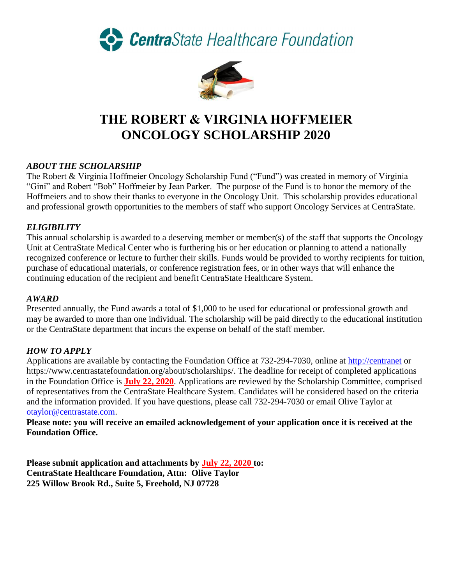CentraState Healthcare Foundation



# **THE ROBERT & VIRGINIA HOFFMEIER ONCOLOGY SCHOLARSHIP 2020**

# *ABOUT THE SCHOLARSHIP*

The Robert & Virginia Hoffmeier Oncology Scholarship Fund ("Fund") was created in memory of Virginia "Gini" and Robert "Bob" Hoffmeier by Jean Parker. The purpose of the Fund is to honor the memory of the Hoffmeiers and to show their thanks to everyone in the Oncology Unit. This scholarship provides educational and professional growth opportunities to the members of staff who support Oncology Services at CentraState.

# *ELIGIBILITY*

This annual scholarship is awarded to a deserving member or member(s) of the staff that supports the Oncology Unit at CentraState Medical Center who is furthering his or her education or planning to attend a nationally recognized conference or lecture to further their skills. Funds would be provided to worthy recipients for tuition, purchase of educational materials, or conference registration fees, or in other ways that will enhance the continuing education of the recipient and benefit CentraState Healthcare System.

#### *AWARD*

Presented annually, the Fund awards a total of \$1,000 to be used for educational or professional growth and may be awarded to more than one individual. The scholarship will be paid directly to the educational institution or the CentraState department that incurs the expense on behalf of the staff member.

### *HOW TO APPLY*

Applications are available by contacting the Foundation Office at 732-294-7030, online at [http://centranet](http://centranet/) or https://www.centrastatefoundation.org/about/scholarships/. The deadline for receipt of completed applications in the Foundation Office is **July 22, 2020**. Applications are reviewed by the Scholarship Committee, comprised of representatives from the CentraState Healthcare System. Candidates will be considered based on the criteria and the information provided. If you have questions, please call 732-294-7030 or email Olive Taylor at [otaylor@centrastate.com.](mailto:otaylor@centrastate.com)

**Please note: you will receive an emailed acknowledgement of your application once it is received at the Foundation Office.**

**Please submit application and attachments by July 22, 2020 to: CentraState Healthcare Foundation, Attn: Olive Taylor 225 Willow Brook Rd., Suite 5, Freehold, NJ 07728**